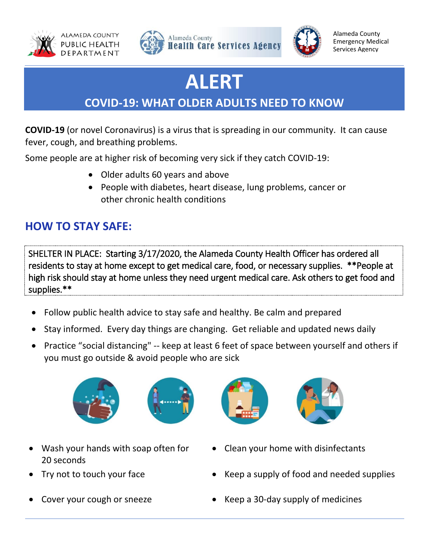





Alameda County Emergency Medical Services Agency

# **ALERT**

## **COVID-19: WHAT OLDER ADULTS NEED TO KNOW**

**COVID-19** (or novel Coronavirus) is a virus that is spreading in our community. It can cause fever, cough, and breathing problems.

Some people are at higher risk of becoming very sick if they catch COVID-19:

- Older adults 60 years and above
- People with diabetes, heart disease, lung problems, cancer or other chronic health conditions

### **HOW TO STAY SAFE:**

SHELTER IN PLACE: Starting 3/17/2020, the Alameda County Health Officer has ordered all residents to stay at home except to get medical care, food, or necessary supplies. \*\*People at high risk should stay at home unless they need urgent medical care. Ask others to get food and supplies.\*\*

- Follow public health advice to stay safe and healthy. Be calm and prepared
- Stay informed. Every day things are changing. Get reliable and updated news daily
- Practice "social distancing" -- keep at least 6 feet of space between yourself and others if you must go outside & avoid people who are sick



Wash your hands with soap often for







- Clean your home with disinfectants
- Try not to touch your face Keep a supply of food and needed supplies
- Cover your cough or sneeze **Cover Seep a 30-day supply of medicines**
- 

20 seconds